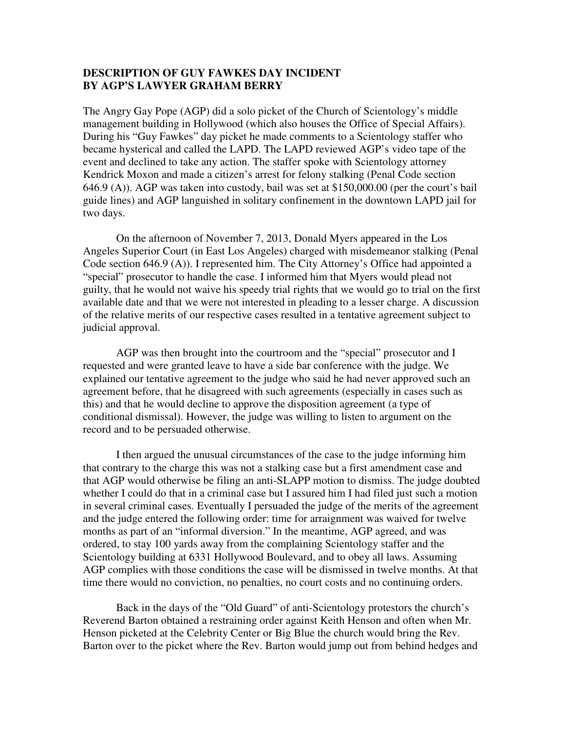## **DESCRIPTION OF GUY FAWKES DAY INCIDENT BY AGP'S LAWYER GRAHAM BERRY**

The Angry Gay Pope (AGP) did a solo picket of the Church of Scientology's middle management building in Hollywood (which also houses the Office of Special Affairs). During his "Guy Fawkes" day picket he made comments to a Scientology staffer who became hysterical and called the LAPD. The LAPD reviewed AGP's video tape of the event and declined to take any action. The staffer spoke with Scientology attorney Kendrick Moxon and made a citizen's arrest for felony stalking (Penal Code section 646.9 (A)). AGP was taken into custody, bail was set at \$150,000.00 (per the court's bail guide lines) and AGP languished in solitary confinement in the downtown LAPD jail for two days.

 On the afternoon of November 7, 2013, Donald Myers appeared in the Los Angeles Superior Court (in East Los Angeles) charged with misdemeanor stalking (Penal Code section 646.9 (A)). I represented him. The City Attorney's Office had appointed a "special" prosecutor to handle the case. I informed him that Myers would plead not guilty, that he would not waive his speedy trial rights that we would go to trial on the first available date and that we were not interested in pleading to a lesser charge. A discussion of the relative merits of our respective cases resulted in a tentative agreement subject to judicial approval.

 AGP was then brought into the courtroom and the "special" prosecutor and I requested and were granted leave to have a side bar conference with the judge. We explained our tentative agreement to the judge who said he had never approved such an agreement before, that he disagreed with such agreements (especially in cases such as this) and that he would decline to approve the disposition agreement (a type of conditional dismissal). However, the judge was willing to listen to argument on the record and to be persuaded otherwise.

 I then argued the unusual circumstances of the case to the judge informing him that contrary to the charge this was not a stalking case but a first amendment case and that AGP would otherwise be filing an anti-SLAPP motion to dismiss. The judge doubted whether I could do that in a criminal case but I assured him I had filed just such a motion in several criminal cases. Eventually I persuaded the judge of the merits of the agreement and the judge entered the following order: time for arraignment was waived for twelve months as part of an "informal diversion." In the meantime, AGP agreed, and was ordered, to stay 100 yards away from the complaining Scientology staffer and the Scientology building at 6331 Hollywood Boulevard, and to obey all laws. Assuming AGP complies with those conditions the case will be dismissed in twelve months. At that time there would no conviction, no penalties, no court costs and no continuing orders.

 Back in the days of the "Old Guard" of anti-Scientology protestors the church's Reverend Barton obtained a restraining order against Keith Henson and often when Mr. Henson picketed at the Celebrity Center or Big Blue the church would bring the Rev. Barton over to the picket where the Rev. Barton would jump out from behind hedges and